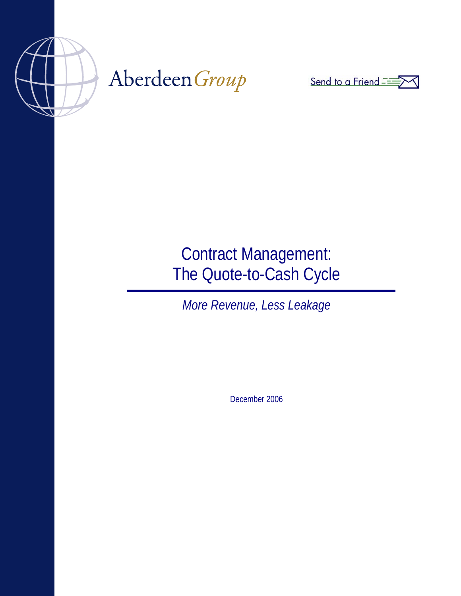

# Aberdeen Group



## Contract Management: The Quote-to-Cash Cycle

*More Revenue, Less Leakage* 

December 2006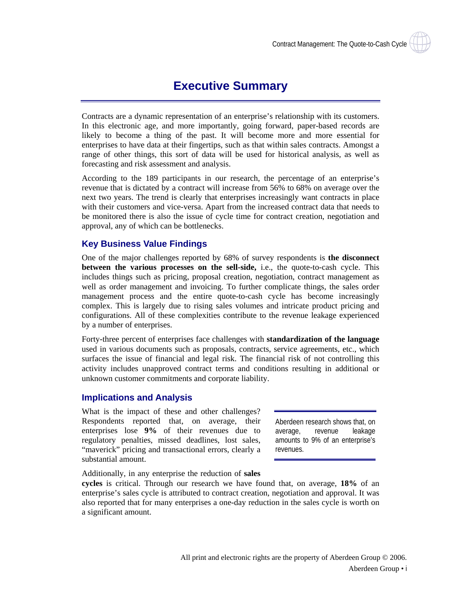### **Executive Summary**

<span id="page-1-0"></span>Contracts are a dynamic representation of an enterprise's relationship with its customers. In this electronic age, and more importantly, going forward, paper-based records are likely to become a thing of the past. It will become more and more essential for enterprises to have data at their fingertips, such as that within sales contracts. Amongst a range of other things, this sort of data will be used for historical analysis, as well as forecasting and risk assessment and analysis.

According to the 189 participants in our research, the percentage of an enterprise's revenue that is dictated by a contract will increase from 56% to 68% on average over the next two years. The trend is clearly that enterprises increasingly want contracts in place with their customers and vice-versa. Apart from the increased contract data that needs to be monitored there is also the issue of cycle time for contract creation, negotiation and approval, any of which can be bottlenecks.

#### **Key Business Value Findings**

One of the major challenges reported by 68% of survey respondents is **the disconnect between the various processes on the sell-side,** i.e., the quote-to-cash cycle. This includes things such as pricing, proposal creation, negotiation, contract management as well as order management and invoicing. To further complicate things, the sales order management process and the entire quote-to-cash cycle has become increasingly complex. This is largely due to rising sales volumes and intricate product pricing and configurations. All of these complexities contribute to the revenue leakage experienced by a number of enterprises.

Forty-three percent of enterprises face challenges with **standardization of the language** used in various documents such as proposals, contracts, service agreements, etc., which surfaces the issue of financial and legal risk. The financial risk of not controlling this activity includes unapproved contract terms and conditions resulting in additional or unknown customer commitments and corporate liability.

#### **Implications and Analysis**

What is the impact of these and other challenges? Respondents reported that, on average, their enterprises lose **9%** of their revenues due to regulatory penalties, missed deadlines, lost sales, "maverick" pricing and transactional errors, clearly a substantial amount.

Aberdeen research shows that, on average, revenue leakage amounts to 9% of an enterprise's revenues.

Additionally, in any enterprise the reduction of **sales** 

**cycles** is critical. Through our research we have found that, on average, **18%** of an enterprise's sales cycle is attributed to contract creation, negotiation and approval. It was also reported that for many enterprises a one-day reduction in the sales cycle is worth on a significant amount.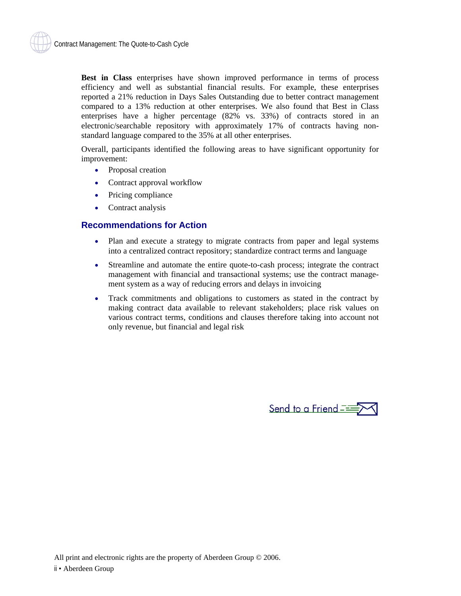<span id="page-2-0"></span>**Best in Class** enterprises have shown improved performance in terms of process efficiency and well as substantial financial results. For example, these enterprises reported a 21% reduction in Days Sales Outstanding due to better contract management compared to a 13% reduction at other enterprises. We also found that Best in Class enterprises have a higher percentage (82% vs. 33%) of contracts stored in an electronic/searchable repository with approximately 17% of contracts having nonstandard language compared to the 35% at all other enterprises.

Overall, participants identified the following areas to have significant opportunity for improvement:

- Proposal creation
- Contract approval workflow
- Pricing compliance
- Contract analysis

#### **Recommendations for Action**

- Plan and execute a strategy to migrate contracts from paper and legal systems into a centralized contract repository; standardize contract terms and language
- Streamline and automate the entire quote-to-cash process; integrate the contract management with financial and transactional systems; use the contract management system as a way of reducing errors and delays in invoicing
- Track commitments and obligations to customers as stated in the contract by making contract data available to relevant stakeholders; place risk values on various contract terms, conditions and clauses therefore taking into account not only revenue, but financial and legal risk

Send to a Friend  $\equiv$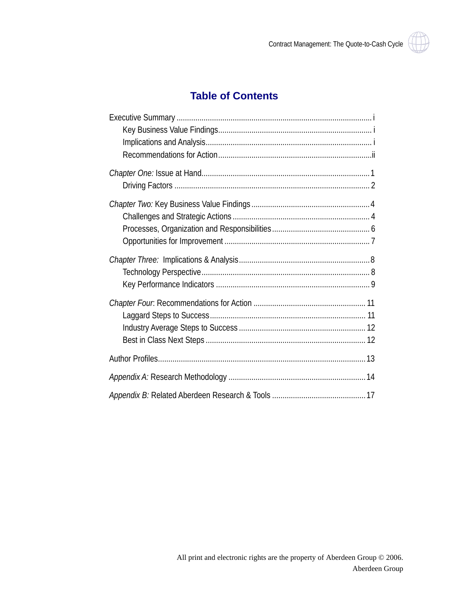### **Table of Contents**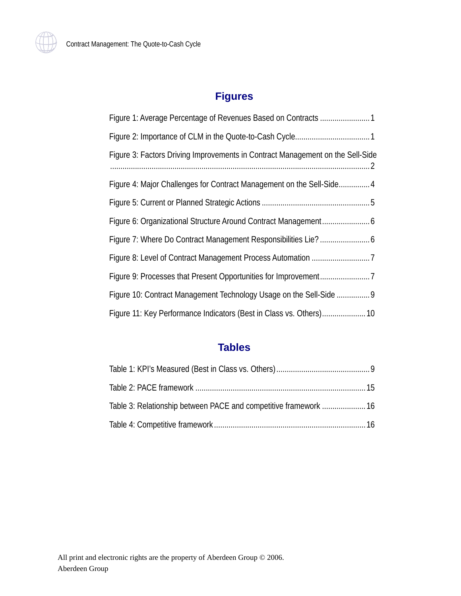

### **Figures**

| Figure 3: Factors Driving Improvements in Contract Management on the Sell-Side |
|--------------------------------------------------------------------------------|
| Figure 4: Major Challenges for Contract Management on the Sell-Side 4          |
|                                                                                |
|                                                                                |
|                                                                                |
|                                                                                |
|                                                                                |
| Figure 10: Contract Management Technology Usage on the Sell-Side  9            |
| Figure 11: Key Performance Indicators (Best in Class vs. Others) 10            |

### **Tables**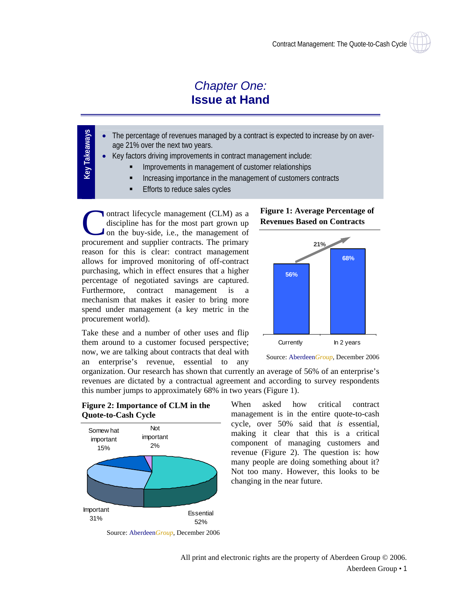### *Chapter One:* **Issue at Hand**

- <span id="page-5-0"></span>**Key Takeaways** Key Takeaways The percentage of revenues managed by a contract is expected to increase by on average 21% over the next two years.
	- Key factors driving improvements in contract management include:
		- Improvements in management of customer relationships
		- Increasing importance in the management of customers contracts
		- Efforts to reduce sales cycles

ontract lifecycle management (CLM) as a discipline has for the most part grown up on the buy-side, i.e., the management of ontract lifecycle management (CLM) as a discipline has for the most part grown up on the buy-side, i.e., the management of procurement and supplier contracts. The primary reason for this is clear: contract management allows for improved monitoring of off-contract purchasing, which in effect ensures that a higher percentage of negotiated savings are captured. Furthermore, contract management is a mechanism that makes it easier to bring more spend under management (a key metric in the procurement world).

Take these and a number of other uses and flip them around to a customer focused perspective; now, we are talking about contracts that deal with an enterprise's revenue, essential to any

#### **Figure 1: Average Percentage of Revenues Based on Contracts**



Source: Aberdeen*Group*, December 2006

organization. Our research has shown that currently an average of 56% of an enterprise's revenues are dictated by a contractual agreement and according to survey respondents this number jumps to approximately 68% in two years (Figure 1).

When asked how critical contract management is in the entire quote-to-cash cycle, over 50% said that *is* essential, making it clear that this is a critical component of managing customers and **Figure 2: Importance of CLM in the** 





Source: Aberdeen*Group*, December 2006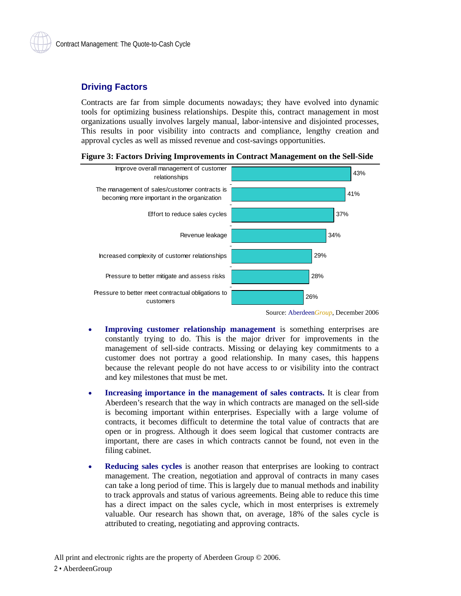#### <span id="page-6-0"></span>**Driving Factors**

Contracts are far from simple documents nowadays; they have evolved into dynamic tools for optimizing business relationships. Despite this, contract management in most organizations usually involves largely manual, labor-intensive and disjointed processes, This results in poor visibility into contracts and compliance, lengthy creation and approval cycles as well as missed revenue and cost-savings opportunities.





Source: Aberdeen*Group*, December 2006

- **Improving customer relationship management** is something enterprises are constantly trying to do. This is the major driver for improvements in the management of sell-side contracts. Missing or delaying key commitments to a customer does not portray a good relationship. In many cases, this happens because the relevant people do not have access to or visibility into the contract and key milestones that must be met.
- **Increasing importance in the management of sales contracts.** It is clear from Aberdeen's research that the way in which contracts are managed on the sell-side is becoming important within enterprises. Especially with a large volume of contracts, it becomes difficult to determine the total value of contracts that are open or in progress. Although it does seem logical that customer contracts are important, there are cases in which contracts cannot be found, not even in the filing cabinet.
- **Reducing sales cycles** is another reason that enterprises are looking to contract management. The creation, negotiation and approval of contracts in many cases can take a long period of time. This is largely due to manual methods and inability to track approvals and status of various agreements. Being able to reduce this time has a direct impact on the sales cycle, which in most enterprises is extremely valuable. Our research has shown that, on average, 18% of the sales cycle is attributed to creating, negotiating and approving contracts.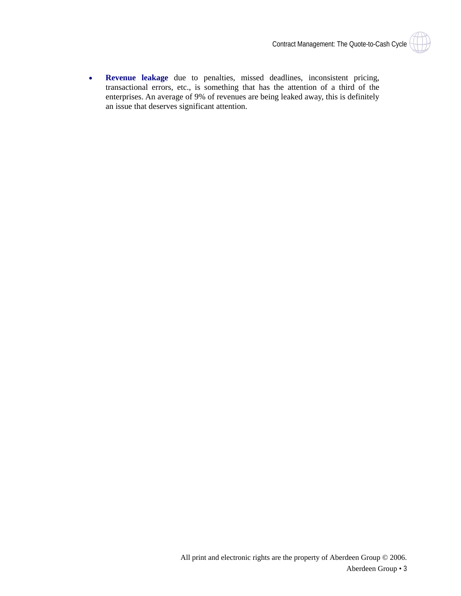

• **Revenue leakage** due to penalties, missed deadlines, inconsistent pricing, transactional errors, etc., is something that has the attention of a third of the enterprises. An average of 9% of revenues are being leaked away, this is definitely an issue that deserves significant attention.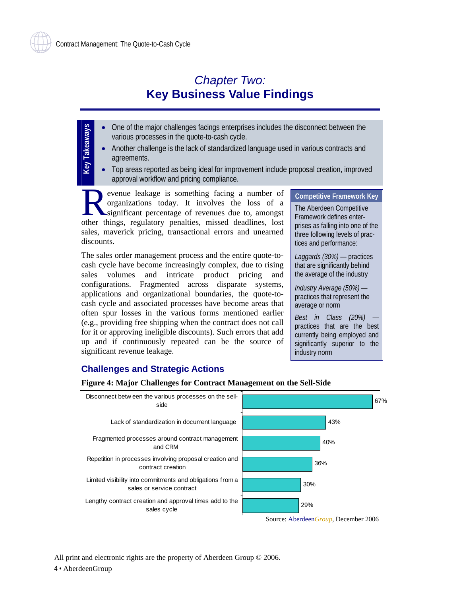### *Chapter Two:*  **Key Business Value Findings**

- <span id="page-8-0"></span>• One of the major challenges facings enterprises includes the disconnect between the various processes in the quote-to-cash cycle.
	- Another challenge is the lack of standardized language used in various contracts and agreements.
	- Top areas reported as being ideal for improvement include proposal creation, improved approval workflow and pricing compliance.

evenue leakage is something facing a number of organizations today. It involves the loss of a significant percentage of revenues due to, amongst evenue leakage is something facing a number of organizations today. It involves the loss of a significant percentage of revenues due to, amongst other things, regulatory penalties, missed deadlines, lost sales, maverick pricing, transactional errors and unearned discounts.

The sales order management process and the entire quote-tocash cycle have become increasingly complex, due to rising sales volumes and intricate product pricing and configurations. Fragmented across disparate systems, applications and organizational boundaries, the quote-tocash cycle and associated processes have become areas that often spur losses in the various forms mentioned earlier (e.g., providing free shipping when the contract does not call for it or approving ineligible discounts). Such errors that add up and if continuously repeated can be the source of significant revenue leakage.

**Competitive Framework Key** 

The Aberdeen Competitive Framework defines enterprises as falling into one of the three following levels of practices and performance:

*Laggards (30%)* — practices that are significantly behind the average of the industry

*Industry Average (50%)* practices that represent the average or norm

*Best in Class (20%)* practices that are the best currently being employed and significantly superior to the industry norm

### **Challenges and Strategic Actions**

#### **Figure 4: Major Challenges for Contract Management on the Sell-Side**



Source: Aberdeen*Group*, December 2006

All print and electronic rights are the property of Aberdeen Group © 2006. 4 • AberdeenGroup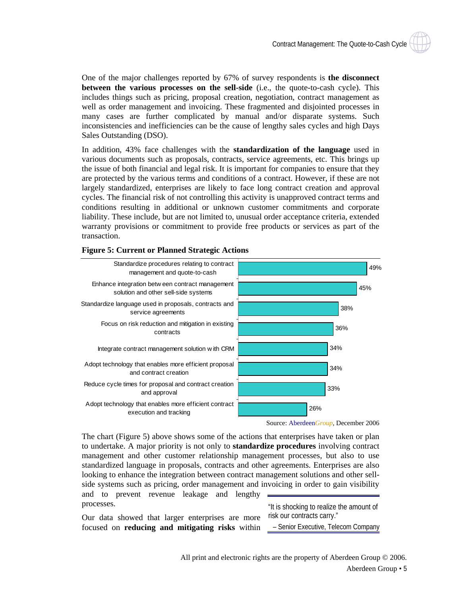<span id="page-9-0"></span>One of the major challenges reported by 67% of survey respondents is **the disconnect between the various processes on the sell-side** (i.e., the quote-to-cash cycle). This includes things such as pricing, proposal creation, negotiation, contract management as well as order management and invoicing. These fragmented and disjointed processes in many cases are further complicated by manual and/or disparate systems. Such inconsistencies and inefficiencies can be the cause of lengthy sales cycles and high Days Sales Outstanding (DSO).

In addition, 43% face challenges with the **standardization of the language** used in various documents such as proposals, contracts, service agreements, etc. This brings up the issue of both financial and legal risk. It is important for companies to ensure that they are protected by the various terms and conditions of a contract. However, if these are not largely standardized, enterprises are likely to face long contract creation and approval cycles. The financial risk of not controlling this activity is unapproved contract terms and conditions resulting in additional or unknown customer commitments and corporate liability. These include, but are not limited to, unusual order acceptance criteria, extended warranty provisions or commitment to provide free products or services as part of the transaction.



**Figure 5: Current or Planned Strategic Actions** 

Source: Aberdeen*Group*, December 2006

The chart (Figure 5) above shows some of the actions that enterprises have taken or plan to undertake. A major priority is not only to **standardize procedures** involving contract management and other customer relationship management processes, but also to use standardized language in proposals, contracts and other agreements. Enterprises are also looking to enhance the integration between contract management solutions and other sellside systems such as pricing, order management and invoicing in order to gain visibility and to prevent revenue leakage and lengthy processes.

Our data showed that larger enterprises are more focused on **reducing and mitigating risks** within

"It is shocking to realize the amount of risk our contracts carry."

– Senior Executive, Telecom Company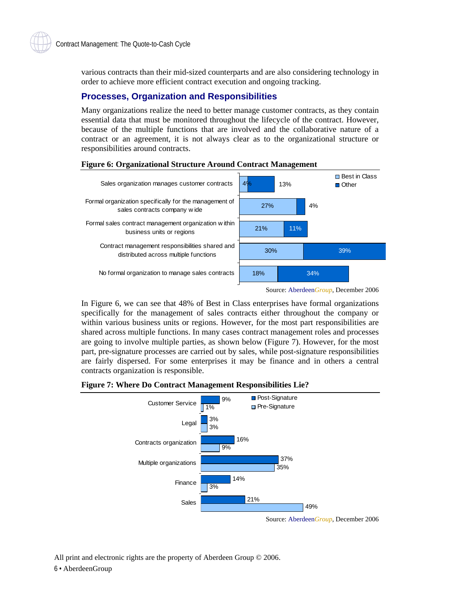<span id="page-10-0"></span>various contracts than their mid-sized counterparts and are also considering technology in order to achieve more efficient contract execution and ongoing tracking.

#### **Processes, Organization and Responsibilities**

Many organizations realize the need to better manage customer contracts, as they contain essential data that must be monitored throughout the lifecycle of the contract. However, because of the multiple functions that are involved and the collaborative nature of a contract or an agreement, it is not always clear as to the organizational structure or responsibilities around contracts.



#### **Figure 6: Organizational Structure Around Contract Management**

In Figure 6, we can see that 48% of Best in Class enterprises have formal organizations specifically for the management of sales contracts either throughout the company or within various business units or regions. However, for the most part responsibilities are shared across multiple functions. In many cases contract management roles and processes are going to involve multiple parties, as shown below (Figure 7). However, for the most part, pre-signature processes are carried out by sales, while post-signature responsibilities are fairly dispersed. For some enterprises it may be finance and in others a central contracts organization is responsible.

#### **Figure 7: Where Do Contract Management Responsibilities Lie?**



All print and electronic rights are the property of Aberdeen Group © 2006. 6 • AberdeenGroup

Source: Aberdeen*Group*, December 2006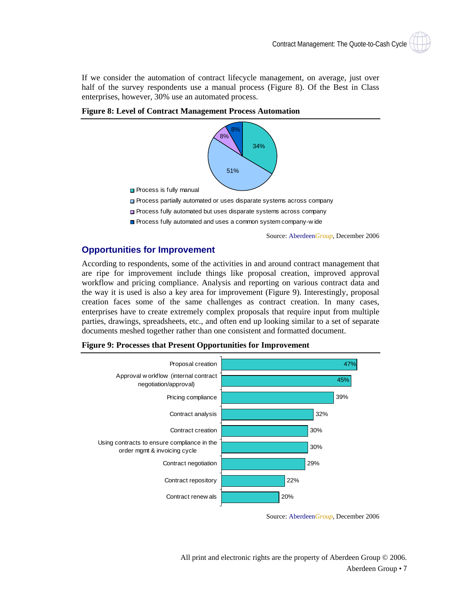<span id="page-11-0"></span>If we consider the automation of contract lifecycle management, on average, just over half of the survey respondents use a manual process (Figure 8). Of the Best in Class enterprises, however, 30% use an automated process.



**Figure 8: Level of Contract Management Process Automation** 

- □ Process partially automated or uses disparate systems across company
- Process fully automated but uses disparate systems across company
- **Process fully automated and uses a common system company-wide**

Source: Aberdeen*Group*, December 2006

#### **Opportunities for Improvement**

According to respondents, some of the activities in and around contract management that are ripe for improvement include things like proposal creation, improved approval workflow and pricing compliance. Analysis and reporting on various contract data and the way it is used is also a key area for improvement (Figure 9). Interestingly, proposal creation faces some of the same challenges as contract creation. In many cases, enterprises have to create extremely complex proposals that require input from multiple parties, drawings, spreadsheets, etc., and often end up looking similar to a set of separate documents meshed together rather than one consistent and formatted document.



**Figure 9: Processes that Present Opportunities for Improvement** 

Source: Aberdeen*Group*, December 2006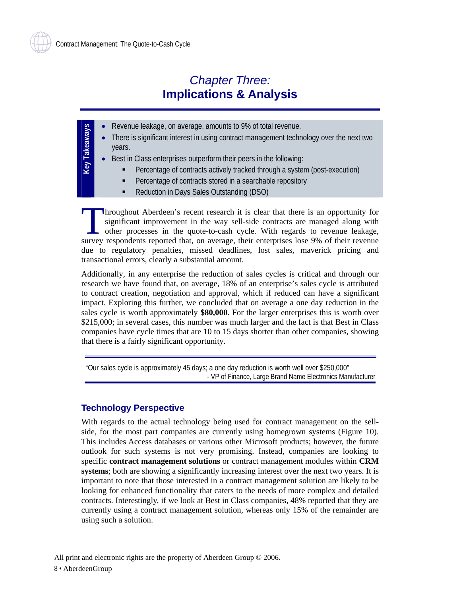### *Chapter Three:* **Implications & Analysis**

- <span id="page-12-0"></span>**Key Takeaways** • Revenue leakage, on average, amounts to 9% of total revenue. **Key Takeaways** 
	- There is significant interest in using contract management technology over the next two years.
		- Best in Class enterprises outperform their peers in the following:
			- Percentage of contracts actively tracked through a system (post-execution)
			- Percentage of contracts stored in a searchable repository
			- **Reduction in Days Sales Outstanding (DSO)**

hroughout Aberdeen's recent research it is clear that there is an opportunity for significant improvement in the way sell-side contracts are managed along with other processes in the quote-to-cash cycle. With regards to revenue leakage, Intervalse and the measurement in the way sell-side contracts are managed along with other processes in the quote-to-cash cycle. With regards to revenue leakage, survey respondents reported that, on average, their enterpri due to regulatory penalties, missed deadlines, lost sales, maverick pricing and transactional errors, clearly a substantial amount.

Additionally, in any enterprise the reduction of sales cycles is critical and through our research we have found that, on average, 18% of an enterprise's sales cycle is attributed to contract creation, negotiation and approval, which if reduced can have a significant impact. Exploring this further, we concluded that on average a one day reduction in the sales cycle is worth approximately **\$80,000**. For the larger enterprises this is worth over \$215,000; in several cases, this number was much larger and the fact is that Best in Class companies have cycle times that are 10 to 15 days shorter than other companies, showing that there is a fairly significant opportunity.

"Our sales cycle is approximately 45 days; a one day reduction is worth well over \$250,000" - VP of Finance, Large Brand Name Electronics Manufacturer

#### **Technology Perspective**

With regards to the actual technology being used for contract management on the sellside, for the most part companies are currently using homegrown systems (Figure 10). This includes Access databases or various other Microsoft products; however, the future outlook for such systems is not very promising. Instead, companies are looking to specific **contract management solutions** or contract management modules within **CRM systems**; both are showing a significantly increasing interest over the next two years. It is important to note that those interested in a contract management solution are likely to be looking for enhanced functionality that caters to the needs of more complex and detailed contracts. Interestingly, if we look at Best in Class companies, 48% reported that they are currently using a contract management solution, whereas only 15% of the remainder are using such a solution.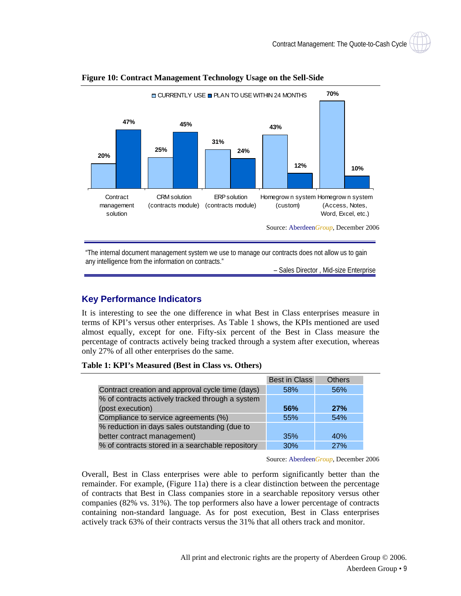

#### <span id="page-13-0"></span>**Figure 10: Contract Management Technology Usage on the Sell-Side**

"The internal document management system we use to manage our contracts does not allow us to gain any intelligence from the information on contracts."

– Sales Director , Mid-size Enterprise

#### **Key Performance Indicators**

It is interesting to see the one difference in what Best in Class enterprises measure in terms of KPI's versus other enterprises. As Table 1 shows, the KPIs mentioned are used almost equally, except for one. Fifty-six percent of the Best in Class measure the percentage of contracts actively being tracked through a system after execution, whereas only 27% of all other enterprises do the same.

#### **Table 1: KPI's Measured (Best in Class vs. Others)**

|                                                  | <b>Best in Class</b> | <b>Others</b> |
|--------------------------------------------------|----------------------|---------------|
| Contract creation and approval cycle time (days) | 58%                  | 56%           |
| % of contracts actively tracked through a system |                      |               |
| (post execution)                                 | <b>56%</b>           | 27%           |
| Compliance to service agreements (%)             | 55%                  | 54%           |
| % reduction in days sales outstanding (due to    |                      |               |
| better contract management)                      | 35%                  | 40%           |
| % of contracts stored in a searchable repository | 30%                  | 27%           |

Source: Aberdeen*Group*, December 2006

Overall, Best in Class enterprises were able to perform significantly better than the remainder. For example, (Figure 11a) there is a clear distinction between the percentage of contracts that Best in Class companies store in a searchable repository versus other companies (82% vs. 31%). The top performers also have a lower percentage of contracts containing non-standard language. As for post execution, Best in Class enterprises actively track 63% of their contracts versus the 31% that all others track and monitor.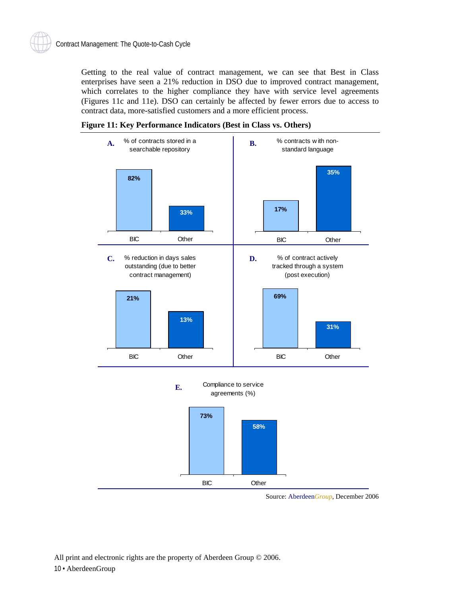<span id="page-14-0"></span>Getting to the real value of contract management, we can see that Best in Class enterprises have seen a 21% reduction in DSO due to improved contract management, which correlates to the higher compliance they have with service level agreements (Figures 11c and 11e). DSO can certainly be affected by fewer errors due to access to contract data, more-satisfied customers and a more efficient process.







Source: Aberdeen*Group*, December 2006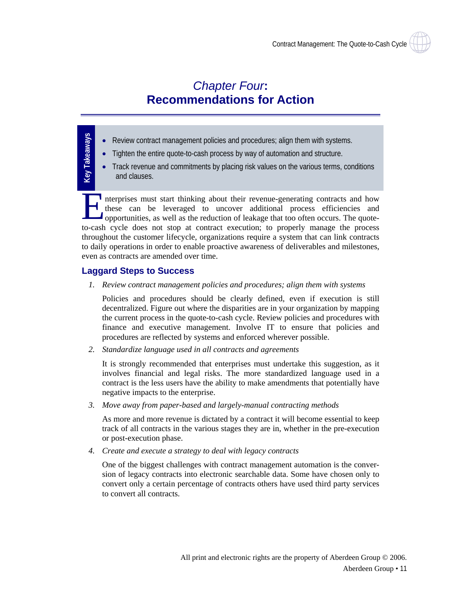### *Chapter Four***: Recommendations for Action**

- Review contract management policies and procedures; align them with systems.
	- Tighten the entire quote-to-cash process by way of automation and structure.
	- Track revenue and commitments by placing risk values on the various terms, conditions and clauses.

nterprises must start thinking about their revenue-generating contracts and how these can be leveraged to uncover additional process efficiencies and opportunities, as well as the reduction of leakage that too often occurs. The quoteto-cash cycle does not stop at contract execution; to properly manage the process throughout the customer lifecycle, organizations require a system that can link contracts to daily operations in order to enable proactive awareness of deliverables and milestones, even as contracts are amended over time. E the

#### **Laggard Steps to Success**

<span id="page-15-0"></span>**Key Takeaways**

Key Takeaways

*1. Review contract management policies and procedures; align them with systems* 

 Policies and procedures should be clearly defined, even if execution is still decentralized. Figure out where the disparities are in your organization by mapping the current process in the quote-to-cash cycle. Review policies and procedures with finance and executive management. Involve IT to ensure that policies and procedures are reflected by systems and enforced wherever possible.

*2. Standardize language used in all contracts and agreements* 

 It is strongly recommended that enterprises must undertake this suggestion, as it involves financial and legal risks. The more standardized language used in a contract is the less users have the ability to make amendments that potentially have negative impacts to the enterprise.

*3. Move away from paper-based and largely-manual contracting methods* 

 As more and more revenue is dictated by a contract it will become essential to keep track of all contracts in the various stages they are in, whether in the pre-execution or post-execution phase.

*4. Create and execute a strategy to deal with legacy contracts* 

 One of the biggest challenges with contract management automation is the conversion of legacy contracts into electronic searchable data. Some have chosen only to convert only a certain percentage of contracts others have used third party services to convert all contracts.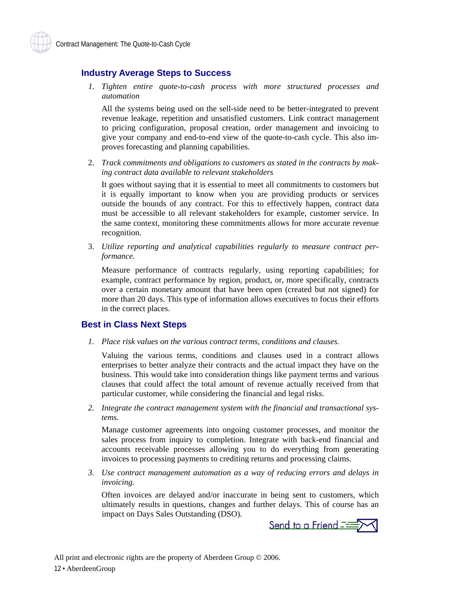#### <span id="page-16-0"></span>**Industry Average Steps to Success**

*1. Tighten entire quote-to-cash process with more structured processes and automation* 

 All the systems being used on the sell-side need to be better-integrated to prevent revenue leakage, repetition and unsatisfied customers. Link contract management to pricing configuration, proposal creation, order management and invoicing to give your company and end-to-end view of the quote-to-cash cycle. This also improves forecasting and planning capabilities.

2. *Track commitments and obligations to customers as stated in the contracts by making contract data available to relevant stakeholders* 

 It goes without saying that it is essential to meet all commitments to customers but it is equally important to know when you are providing products or services outside the bounds of any contract. For this to effectively happen, contract data must be accessible to all relevant stakeholders for example, customer service. In the same context, monitoring these commitments allows for more accurate revenue recognition.

3. *Utilize reporting and analytical capabilities regularly to measure contract performance.* 

 Measure performance of contracts regularly, using reporting capabilities; for example, contract performance by region, product, or, more specifically, contracts over a certain monetary amount that have been open (created but not signed) for more than 20 days. This type of information allows executives to focus their efforts in the correct places.

#### **Best in Class Next Steps**

*1. Place risk values on the various contract terms, conditions and clauses.* 

 Valuing the various terms, conditions and clauses used in a contract allows enterprises to better analyze their contracts and the actual impact they have on the business. This would take into consideration things like payment terms and various clauses that could affect the total amount of revenue actually received from that particular customer, while considering the financial and legal risks.

*2. Integrate the contract management system with the financial and transactional systems.* 

 Manage customer agreements into ongoing customer processes, and monitor the sales process from inquiry to completion. Integrate with back-end financial and accounts receivable processes allowing you to do everything from generating invoices to processing payments to crediting returns and processing claims.

*3. Use contract management automation as a way of reducing errors and delays in invoicing.* 

 Often invoices are delayed and/or inaccurate in being sent to customers, which ultimately results in questions, changes and further delays. This of course has an impact on Days Sales Outstanding (DSO).

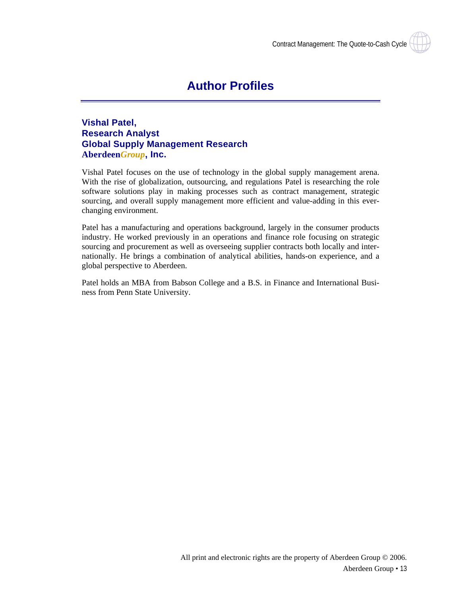

#### <span id="page-17-0"></span>**Vishal Patel, Research Analyst Global Supply Management Research Aberdeen***Group***, Inc.**

Vishal Patel focuses on the use of technology in the global supply management arena. With the rise of globalization, outsourcing, and regulations Patel is researching the role software solutions play in making processes such as contract management, strategic sourcing, and overall supply management more efficient and value-adding in this everchanging environment.

Patel has a manufacturing and operations background, largely in the consumer products industry. He worked previously in an operations and finance role focusing on strategic sourcing and procurement as well as overseeing supplier contracts both locally and internationally. He brings a combination of analytical abilities, hands-on experience, and a global perspective to Aberdeen.

Patel holds an MBA from Babson College and a B.S. in Finance and International Business from Penn State University.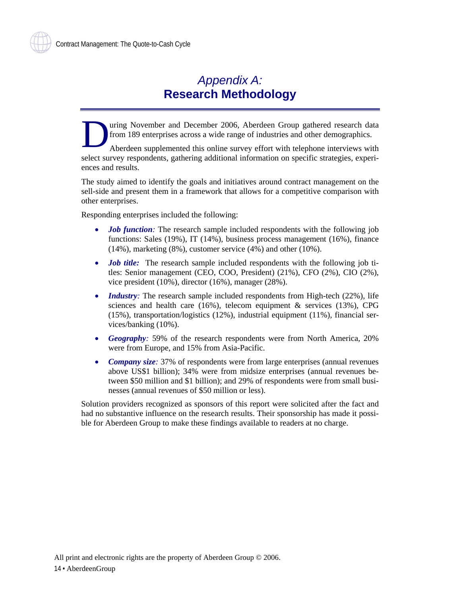### *Appendix A:*  **Research Methodology**

<span id="page-18-0"></span>uring November and December 2006, Aberdeen Group gathered research data from 189 enterprises across a wide range of industries and other demographics.  $\sum_{\substack{\text{the } \text{the}}}$ 

Aberdeen supplemented this online survey effort with telephone interviews with select survey respondents, gathering additional information on specific strategies, experiences and results.

The study aimed to identify the goals and initiatives around contract management on the sell-side and present them in a framework that allows for a competitive comparison with other enterprises.

Responding enterprises included the following:

- *Job function*: The research sample included respondents with the following job functions: Sales (19%), IT (14%), business process management (16%), finance (14%), marketing (8%), customer service (4%) and other (10%).
- *Job title:* The research sample included respondents with the following job titles: Senior management (CEO, COO, President) (21%), CFO (2%), CIO (2%), vice president (10%), director (16%), manager (28%).
- *Industry*: The research sample included respondents from High-tech (22%), life sciences and health care (16%), telecom equipment & services (13%), CPG (15%), transportation/logistics (12%), industrial equipment (11%), financial services/banking (10%).
- *Geography:* 59% of the research respondents were from North America, 20% were from Europe, and 15% from Asia-Pacific.
- *Company size:* 37% of respondents were from large enterprises (annual revenues above US\$1 billion); 34% were from midsize enterprises (annual revenues between \$50 million and \$1 billion); and 29% of respondents were from small businesses (annual revenues of \$50 million or less).

Solution providers recognized as sponsors of this report were solicited after the fact and had no substantive influence on the research results. Their sponsorship has made it possible for Aberdeen Group to make these findings available to readers at no charge.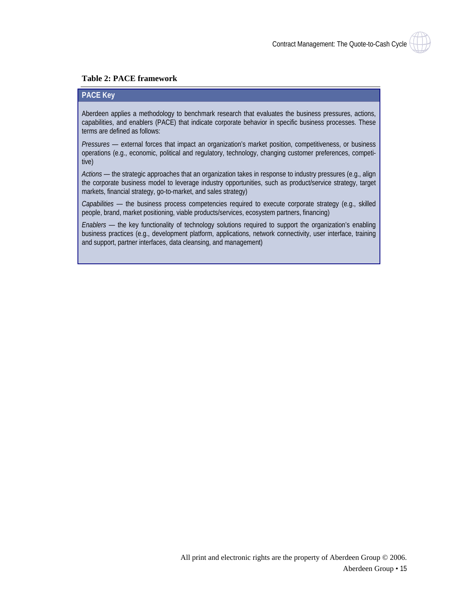#### <span id="page-19-0"></span>**Table 2: PACE framework**

#### **PACE Key**

Aberdeen applies a methodology to benchmark research that evaluates the business pressures, actions, capabilities, and enablers (PACE) that indicate corporate behavior in specific business processes. These terms are defined as follows:

*Pressures —* external forces that impact an organization's market position, competitiveness, or business operations (e.g., economic, political and regulatory, technology, changing customer preferences, competitive)

*Actions —* the strategic approaches that an organization takes in response to industry pressures (e.g., align the corporate business model to leverage industry opportunities, such as product/service strategy, target markets, financial strategy, go-to-market, and sales strategy)

*Capabilities —* the business process competencies required to execute corporate strategy (e.g., skilled people, brand, market positioning, viable products/services, ecosystem partners, financing)

*Enablers* — the key functionality of technology solutions required to support the organization's enabling business practices (e.g., development platform, applications, network connectivity, user interface, training and support, partner interfaces, data cleansing, and management)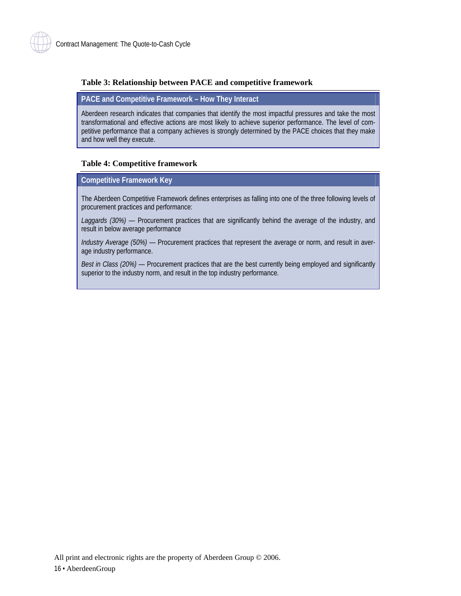#### <span id="page-20-0"></span>**Table 3: Relationship between PACE and competitive framework**

#### **PACE and Competitive Framework – How They Interact**

Aberdeen research indicates that companies that identify the most impactful pressures and take the most transformational and effective actions are most likely to achieve superior performance. The level of competitive performance that a company achieves is strongly determined by the PACE choices that they make and how well they execute.

#### **Table 4: Competitive framework**

#### **Competitive Framework Key**

The Aberdeen Competitive Framework defines enterprises as falling into one of the three following levels of procurement practices and performance:

*Laggards (30%)* — Procurement practices that are significantly behind the average of the industry, and result in below average performance

*Industry Average (50%)* — Procurement practices that represent the average or norm, and result in average industry performance.

*Best in Class (20%)* — Procurement practices that are the best currently being employed and significantly superior to the industry norm, and result in the top industry performance.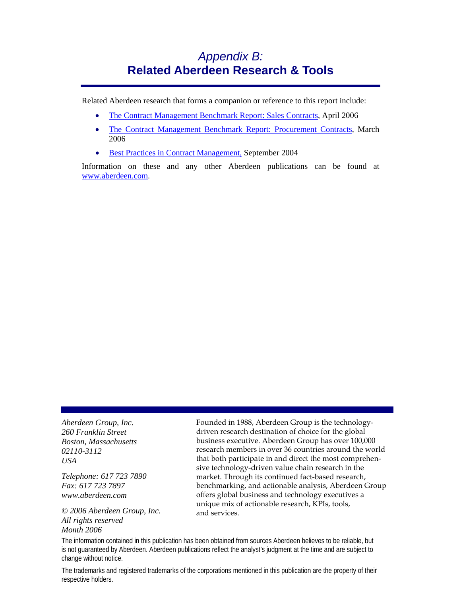### *Appendix B:* **Related Aberdeen Research & Tools**

<span id="page-21-0"></span>Related Aberdeen research that forms a companion or reference to this report include:

- [The Contract Management Benchmark Report: Sales Contracts](http://www.aberdeen.com/summary/report/benchmark/RA_SalesCM_VP_2856.asp), April 2006
- [The Contract Management Benchmark Report: Procurement Contracts,](http://www.aberdeen.com/summary/report/benchmark/RA_ProcCM_VP_2817.asp) March 2006
- [Best Practices in Contract Management,](http://www.aberdeen.com/summary/report/other/BPinCM_092904a.asp) September 2004

Information on these and any other Aberdeen publications can be found at [www.aberdeen.com.](http://www.aberdeen.com/)

*Aberdeen Group, Inc. 260 Franklin Street Boston, Massachusetts 02110-3112 USA* 

*Telephone: 617 723 7890 Fax: 617 723 7897 www.aberdeen.com* 

*© 2006 Aberdeen Group, Inc. All rights reserved Month 2006*

Founded in 1988, Aberdeen Group is the technologydriven research destination of choice for the global business executive. Aberdeen Group has over 100,000 research members in over 36 countries around the world that both participate in and direct the most comprehensive technology-driven value chain research in the market. Through its continued fact-based research, benchmarking, and actionable analysis, Aberdeen Group offers global business and technology executives a unique mix of actionable research, KPIs, tools, and services.

The information contained in this publication has been obtained from sources Aberdeen believes to be reliable, but is not guaranteed by Aberdeen. Aberdeen publications reflect the analyst's judgment at the time and are subject to change without notice.

The trademarks and registered trademarks of the corporations mentioned in this publication are the property of their respective holders.